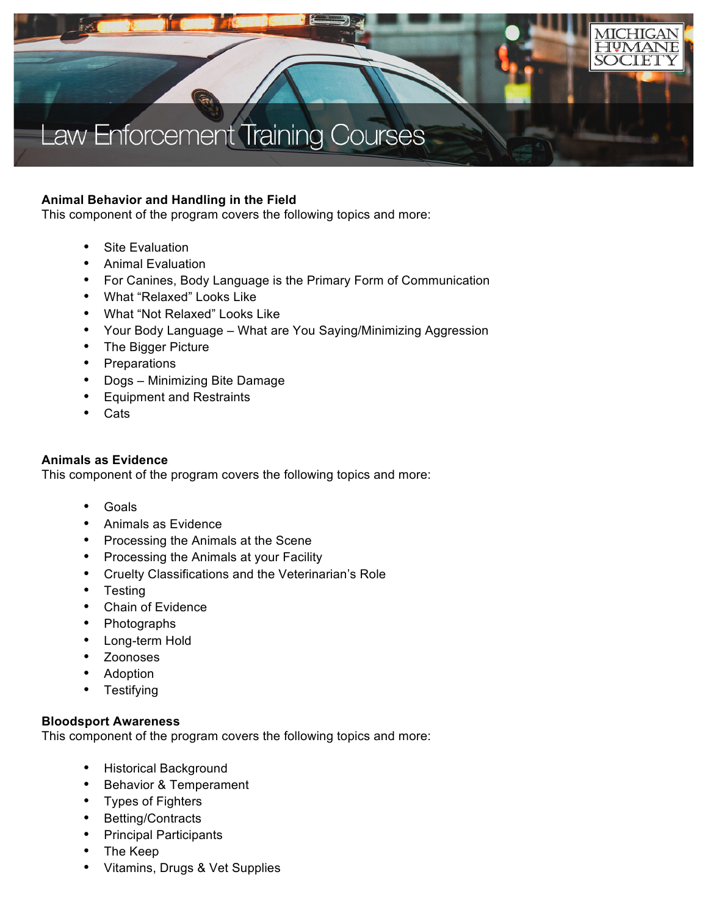

# **Animal Behavior and Handling in the Field**

This component of the program covers the following topics and more:

- Site Evaluation
- Animal Evaluation
- For Canines, Body Language is the Primary Form of Communication
- What "Relaxed" Looks Like
- What "Not Relaxed" Looks Like
- Your Body Language What are You Saying/Minimizing Aggression
- The Bigger Picture
- Preparations
- Dogs Minimizing Bite Damage
- Equipment and Restraints
- Cats

# **Animals as Evidence**

This component of the program covers the following topics and more:

- Goals
- Animals as Evidence
- Processing the Animals at the Scene
- Processing the Animals at your Facility
- Cruelty Classifications and the Veterinarian's Role
- Testing
- Chain of Evidence
- Photographs
- Long-term Hold
- Zoonoses
- Adoption
- **Testifying**

#### **Bloodsport Awareness**

This component of the program covers the following topics and more:

- Historical Background
- Behavior & Temperament
- Types of Fighters
- Betting/Contracts
- Principal Participants
- The Keep
- Vitamins, Drugs & Vet Supplies